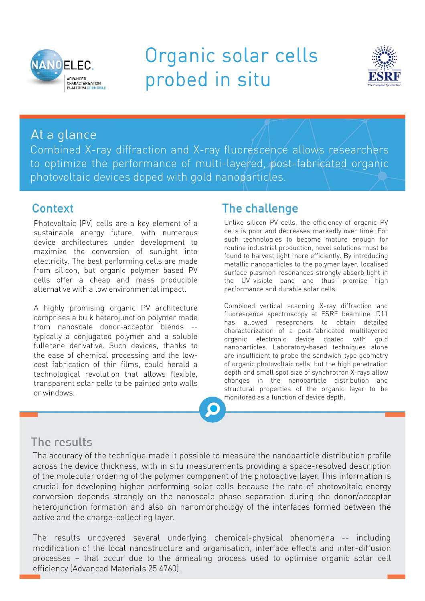

# Organic solar cells probed in situ



### At a glance

Combined X-ray diffraction and X-ray fluorescence allows researchers to optimize the performance of multi-layered, post-fabricated organic photovoltaic devices doped with gold nanoparticles.

#### Context

Photovoltaic (PV) cells are a key element of a sustainable energy future, with numerous device architectures under development to maximize the conversion of sunlight into electricity. The best performing cells are made from silicon, but organic polymer based PV cells offer a cheap and mass producible alternative with a low environmental impact.

A highly promising organic PV architecture comprises a bulk heterojunction polymer made from nanoscale donor-acceptor blends - typically a conjugated polymer and a soluble fullerene derivative. Such devices, thanks to the ease of chemical processing and the lowcost fabrication of thin films, could herald a technological revolution that allows flexible, transparent solar cells to be painted onto walls or windows.

## The challenge

Unlike silicon PV cells, the efficiency of organic PV cells is poor and decreases markedly over time. For such technologies to become mature enough for routine industrial production, novel solutions must be found to harvest light more efficiently. By introducing metallic nanoparticles to the polymer layer, localised surface plasmon resonances strongly absorb light in the UV–visible band and thus promise high performance and durable solar cells.

Combined vertical scanning X-ray diffraction and fluorescence spectroscopy at ESRF beamline ID11 has allowed researchers to obtain detailed characterization of a post-fabricated multilayered organic electronic device coated with gold nanoparticles. Laboratory-based techniques alone are insufficient to probe the sandwich-type geometry of organic photovoltaic cells, but the high penetration depth and small spot size of synchrotron X-rays allow changes in the nanoparticle distribution and structural properties of the organic layer to be monitored as a function of device depth.

## The results

The accuracy of the technique made it possible to measure the nanoparticle distribution profile across the device thickness, with in situ measurements providing a space-resolved description of the molecular ordering of the polymer component of the photoactive layer. This information is crucial for developing higher performing solar cells because the rate of photovoltaic energy conversion depends strongly on the nanoscale phase separation during the donor/acceptor heterojunction formation and also on nanomorphology of the interfaces formed between the active and the charge-collecting layer.

The results uncovered several underlying chemical-physical phenomena -- including modification of the local nanostructure and organisation, interface effects and inter-diffusion processes – that occur due to the annealing process used to optimise organic solar cell efficiency (Advanced Materials 25 4760).